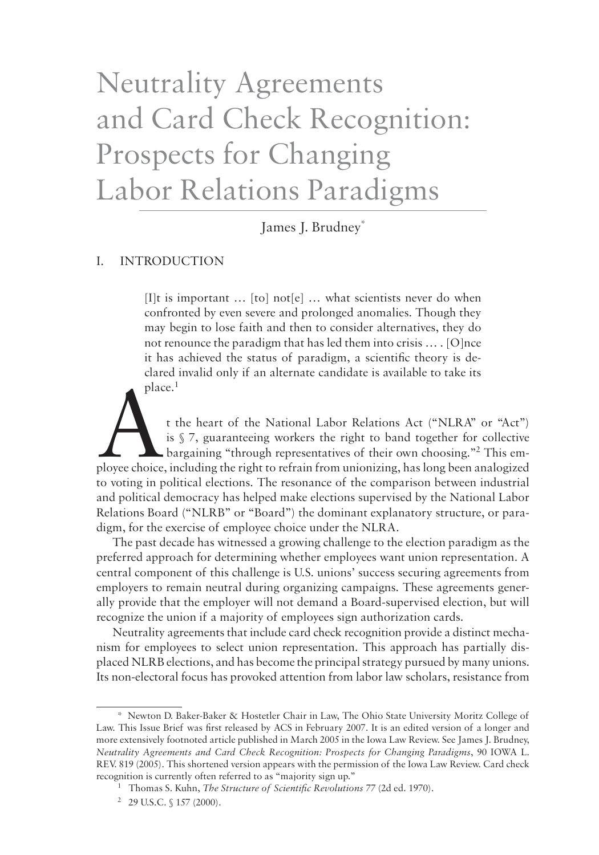# Neutrality Agreements and Card Check Recognition: Prospects for Changing Labor Relations Paradigms

James J. Brudney\*

# I. Introduction

[I]t is important … [to] not[e] … what scientists never do when confronted by even severe and prolonged anomalies. Though they may begin to lose faith and then to consider alternatives, they do not renounce the paradigm that has led them into crisis … . [O]nce it has achieved the status of paradigm, a scientific theory is declared invalid only if an alternate candidate is available to take its place.

t the heart of the National Labor Relations Act ("NLRA" or "Act") is § 7, guaranteeing workers the right to band together for collective bargaining "through representatives of their own choosing."<sup>2</sup> This employee choice, including the right to refrain from unionizing, has long been analogized to voting in political elections. The resonance of the comparison between industrial and political democracy has helped make elections supervised by the National Labor Relations Board ("NLRB" or "Board") the dominant explanatory structure, or paradigm, for the exercise of employee choice under the NLRA.

The past decade has witnessed a growing challenge to the election paradigm as the preferred approach for determining whether employees want union representation. A central component of this challenge is U.S. unions' success securing agreements from employers to remain neutral during organizing campaigns. These agreements generally provide that the employer will not demand a Board-supervised election, but will recognize the union if a majority of employees sign authorization cards.

Neutrality agreements that include card check recognition provide a distinct mechanism for employees to select union representation. This approach has partially displaced NLRB elections, and has become the principal strategy pursued by many unions. Its non-electoral focus has provoked attention from labor law scholars, resistance from

<sup>\*</sup> Newton D. Baker-Baker & Hostetler Chair in Law, The Ohio State University Moritz College of Law. This Issue Brief was first released by ACS in February 2007. It is an edited version of a longer and more extensively footnoted article published in March 2005 in the Iowa Law Review. See James J. Brudney, *Neutrality Agreements and Card Check Recognition: Prospects for Changing Paradigms*, 90 IOWA L. REV. 819 (2005). This shortened version appears with the permission of the Iowa Law Review. Card check recognition is currently often referred to as "majority sign up."

<sup>&</sup>lt;sup>1</sup> Thomas S. Kuhn, *The Structure of Scientific Revolutions 77* (2d ed. 1970).

 $2$  29 U.S.C. § 157 (2000).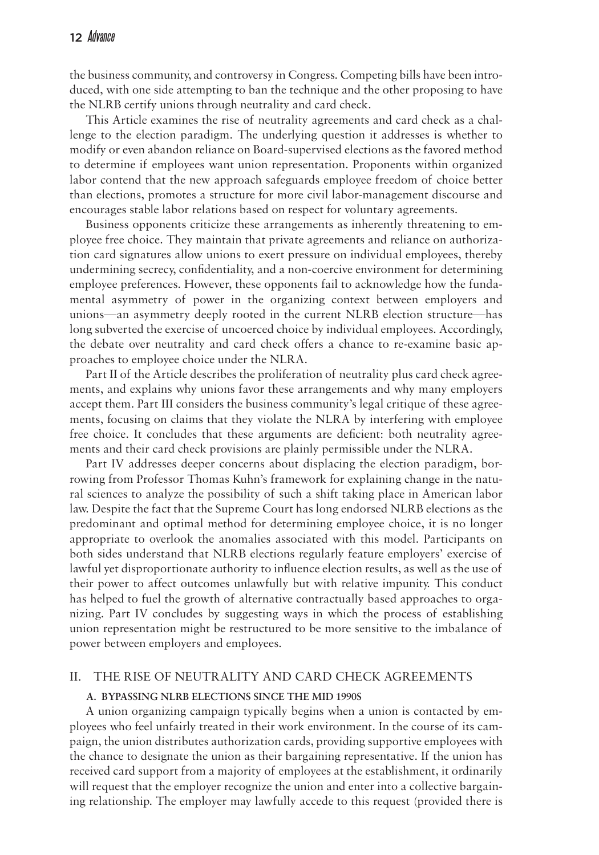the business community, and controversy in Congress. Competing bills have been introduced, with one side attempting to ban the technique and the other proposing to have the NLRB certify unions through neutrality and card check.

This Article examines the rise of neutrality agreements and card check as a challenge to the election paradigm. The underlying question it addresses is whether to modify or even abandon reliance on Board-supervised elections as the favored method to determine if employees want union representation. Proponents within organized labor contend that the new approach safeguards employee freedom of choice better than elections, promotes a structure for more civil labor-management discourse and encourages stable labor relations based on respect for voluntary agreements.

Business opponents criticize these arrangements as inherently threatening to employee free choice. They maintain that private agreements and reliance on authorization card signatures allow unions to exert pressure on individual employees, thereby undermining secrecy, confidentiality, and a non-coercive environment for determining employee preferences. However, these opponents fail to acknowledge how the fundamental asymmetry of power in the organizing context between employers and unions—an asymmetry deeply rooted in the current NLRB election structure—has long subverted the exercise of uncoerced choice by individual employees. Accordingly, the debate over neutrality and card check offers a chance to re-examine basic approaches to employee choice under the NLRA.

Part II of the Article describes the proliferation of neutrality plus card check agreements, and explains why unions favor these arrangements and why many employers accept them. Part III considers the business community's legal critique of these agreements, focusing on claims that they violate the NLRA by interfering with employee free choice. It concludes that these arguments are deficient: both neutrality agreements and their card check provisions are plainly permissible under the NLRA.

Part IV addresses deeper concerns about displacing the election paradigm, borrowing from Professor Thomas Kuhn's framework for explaining change in the natural sciences to analyze the possibility of such a shift taking place in American labor law. Despite the fact that the Supreme Court has long endorsed NLRB elections as the predominant and optimal method for determining employee choice, it is no longer appropriate to overlook the anomalies associated with this model. Participants on both sides understand that NLRB elections regularly feature employers' exercise of lawful yet disproportionate authority to influence election results, as well as the use of their power to affect outcomes unlawfully but with relative impunity. This conduct has helped to fuel the growth of alternative contractually based approaches to organizing. Part IV concludes by suggesting ways in which the process of establishing union representation might be restructured to be more sensitive to the imbalance of power between employers and employees.

#### II. The Rise of Neutrality and Card Check Agreements

#### **A. Bypassing NLRB Elections Since the Mid 1990s**

A union organizing campaign typically begins when a union is contacted by employees who feel unfairly treated in their work environment. In the course of its campaign, the union distributes authorization cards, providing supportive employees with the chance to designate the union as their bargaining representative. If the union has received card support from a majority of employees at the establishment, it ordinarily will request that the employer recognize the union and enter into a collective bargaining relationship. The employer may lawfully accede to this request (provided there is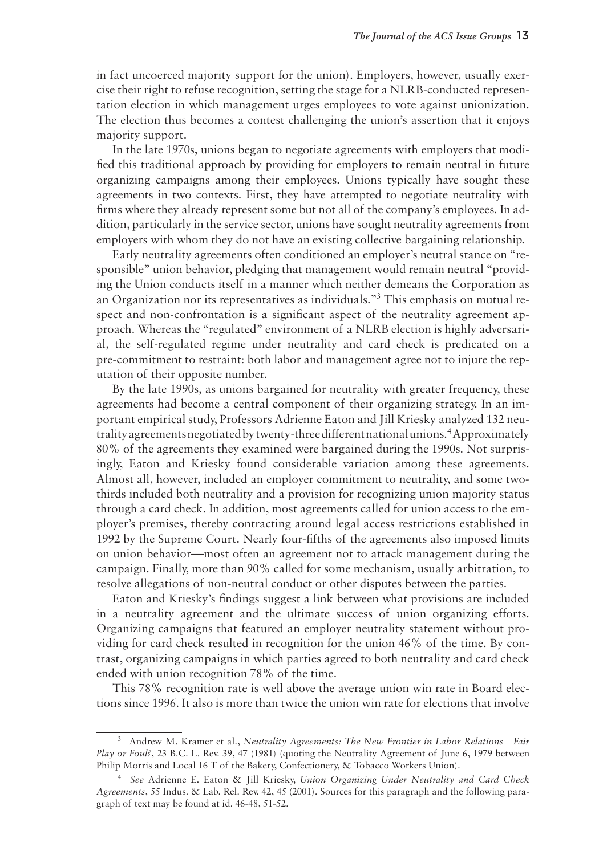in fact uncoerced majority support for the union). Employers, however, usually exercise their right to refuse recognition, setting the stage for a NLRB-conducted representation election in which management urges employees to vote against unionization. The election thus becomes a contest challenging the union's assertion that it enjoys majority support.

In the late 1970s, unions began to negotiate agreements with employers that modified this traditional approach by providing for employers to remain neutral in future organizing campaigns among their employees. Unions typically have sought these agreements in two contexts. First, they have attempted to negotiate neutrality with firms where they already represent some but not all of the company's employees. In addition, particularly in the service sector, unions have sought neutrality agreements from employers with whom they do not have an existing collective bargaining relationship.

Early neutrality agreements often conditioned an employer's neutral stance on "responsible" union behavior, pledging that management would remain neutral "providing the Union conducts itself in a manner which neither demeans the Corporation as an Organization nor its representatives as individuals." This emphasis on mutual respect and non-confrontation is a significant aspect of the neutrality agreement approach. Whereas the "regulated" environment of a NLRB election is highly adversarial, the self-regulated regime under neutrality and card check is predicated on a pre-commitment to restraint: both labor and management agree not to injure the reputation of their opposite number.

By the late 1990s, as unions bargained for neutrality with greater frequency, these agreements had become a central component of their organizing strategy. In an important empirical study, Professors Adrienne Eaton and Jill Kriesky analyzed 132 neutrality agreements negotiated by twenty-three different national unions.<sup>4</sup> Approximately 80% of the agreements they examined were bargained during the 1990s. Not surprisingly, Eaton and Kriesky found considerable variation among these agreements. Almost all, however, included an employer commitment to neutrality, and some twothirds included both neutrality and a provision for recognizing union majority status through a card check. In addition, most agreements called for union access to the employer's premises, thereby contracting around legal access restrictions established in 1992 by the Supreme Court. Nearly four-fifths of the agreements also imposed limits on union behavior—most often an agreement not to attack management during the campaign. Finally, more than 90% called for some mechanism, usually arbitration, to resolve allegations of non-neutral conduct or other disputes between the parties.

Eaton and Kriesky's findings suggest a link between what provisions are included in a neutrality agreement and the ultimate success of union organizing efforts. Organizing campaigns that featured an employer neutrality statement without providing for card check resulted in recognition for the union 46% of the time. By contrast, organizing campaigns in which parties agreed to both neutrality and card check ended with union recognition 78% of the time.

This 78% recognition rate is well above the average union win rate in Board elections since 1996. It also is more than twice the union win rate for elections that involve

Andrew M. Kramer et al., *Neutrality Agreements: The New Frontier in Labor Relations—Fair Play or Foul?*, 23 B.C. L. Rev. 39, 47 (1981) (quoting the Neutrality Agreement of June 6, 1979 between Philip Morris and Local 16 T of the Bakery, Confectionery, & Tobacco Workers Union).

*See* Adrienne E. Eaton & Jill Kriesky, *Union Organizing Under Neutrality and Card Check Agreements*, 55 Indus. & Lab. Rel. Rev. 42, 45 (2001). Sources for this paragraph and the following paragraph of text may be found at id. 46-48, 51-52.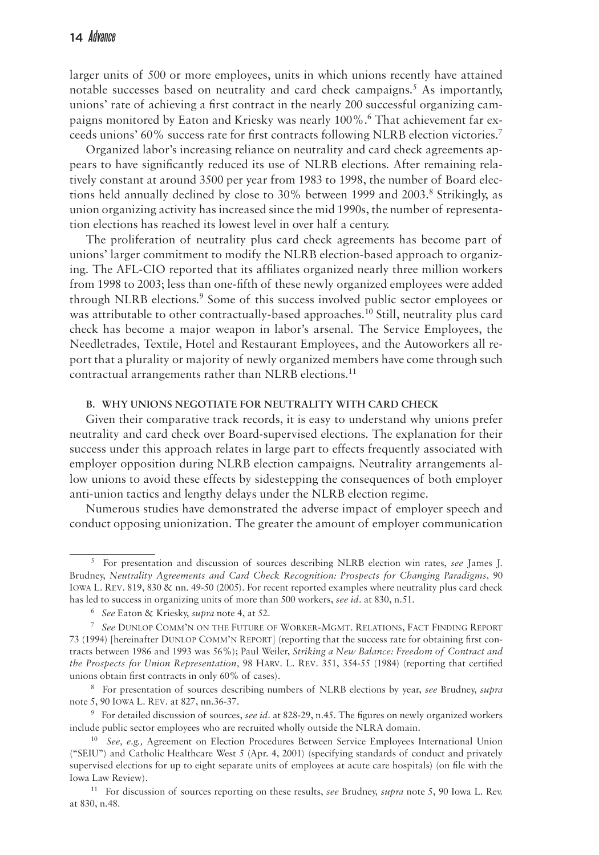larger units of 500 or more employees, units in which unions recently have attained notable successes based on neutrality and card check campaigns.<sup>5</sup> As importantly, unions' rate of achieving a first contract in the nearly 200 successful organizing campaigns monitored by Eaton and Kriesky was nearly 100%. That achievement far exceeds unions' 60% success rate for first contracts following NLRB election victories.

Organized labor's increasing reliance on neutrality and card check agreements appears to have significantly reduced its use of NLRB elections. After remaining relatively constant at around 3500 per year from 1983 to 1998, the number of Board elections held annually declined by close to  $30\%$  between 1999 and  $2003$ .<sup>8</sup> Strikingly, as union organizing activity has increased since the mid 1990s, the number of representation elections has reached its lowest level in over half a century.

The proliferation of neutrality plus card check agreements has become part of unions' larger commitment to modify the NLRB election-based approach to organizing. The AFL-CIO reported that its affiliates organized nearly three million workers from 1998 to 2003; less than one-fifth of these newly organized employees were added through NLRB elections.<sup>9</sup> Some of this success involved public sector employees or was attributable to other contractually-based approaches.<sup>10</sup> Still, neutrality plus card check has become a major weapon in labor's arsenal. The Service Employees, the Needletrades, Textile, Hotel and Restaurant Employees, and the Autoworkers all report that a plurality or majority of newly organized members have come through such contractual arrangements rather than NLRB elections.<sup>11</sup>

#### **B. Why Unions Negotiate for Neutrality with Card Check**

Given their comparative track records, it is easy to understand why unions prefer neutrality and card check over Board-supervised elections. The explanation for their success under this approach relates in large part to effects frequently associated with employer opposition during NLRB election campaigns. Neutrality arrangements allow unions to avoid these effects by sidestepping the consequences of both employer anti-union tactics and lengthy delays under the NLRB election regime.

Numerous studies have demonstrated the adverse impact of employer speech and conduct opposing unionization. The greater the amount of employer communication

For presentation and discussion of sources describing NLRB election win rates, *see* James J. Brudney, *Neutrality Agreements and Card Check Recognition: Prospects for Changing Paradigms*, 90 Iowa L. Rev. 819, 830 & nn. 49-50 (2005). For recent reported examples where neutrality plus card check has led to success in organizing units of more than 500 workers, *see id.* at 830, n.51.

*See* Eaton & Kriesky, *supra* note 4, at 52.

*See* Dunlop Comm'n on the Future of Worker-Mgmt. Relations, Fact Finding Report 73 (1994) [hereinafter DUNLOP COMM'N REPORT] (reporting that the success rate for obtaining first contracts between 1986 and 1993 was 56%); Paul Weiler, *Striking a New Balance: Freedom of Contract and the Prospects for Union Representation,* 98 Harv. L. Rev. 351, 354-55 (1984) (reporting that certified unions obtain first contracts in only 60% of cases).

For presentation of sources describing numbers of NLRB elections by year, *see* Brudney, *supra* note 5, 90 Iowa L. Rev. at 827, nn.36-37.

For detailed discussion of sources, *see id.* at 828-29, n.45. The figures on newly organized workers include public sector employees who are recruited wholly outside the NLRA domain.

<sup>10</sup> *See, e.g.,* Agreement on Election Procedures Between Service Employees International Union ("SEIU") and Catholic Healthcare West 5 (Apr. 4, 2001) (specifying standards of conduct and privately supervised elections for up to eight separate units of employees at acute care hospitals) (on file with the Iowa Law Review).

<sup>11</sup> For discussion of sources reporting on these results, *see* Brudney, *supra* note 5, 90 Iowa L. Rev. at 830, n.48.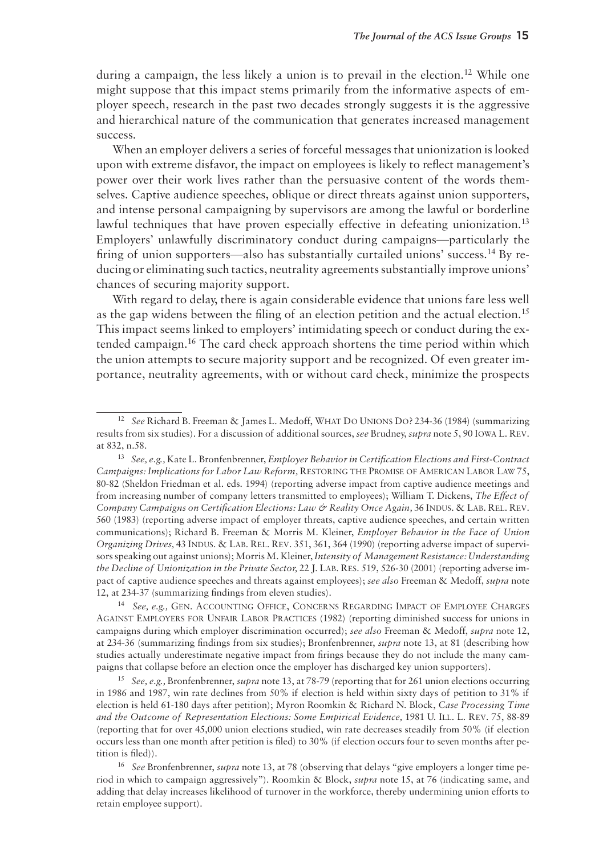during a campaign, the less likely a union is to prevail in the election.<sup>12</sup> While one might suppose that this impact stems primarily from the informative aspects of employer speech, research in the past two decades strongly suggests it is the aggressive and hierarchical nature of the communication that generates increased management success.

When an employer delivers a series of forceful messages that unionization is looked upon with extreme disfavor, the impact on employees is likely to reflect management's power over their work lives rather than the persuasive content of the words themselves. Captive audience speeches, oblique or direct threats against union supporters, and intense personal campaigning by supervisors are among the lawful or borderline lawful techniques that have proven especially effective in defeating unionization.13 Employers' unlawfully discriminatory conduct during campaigns—particularly the firing of union supporters—also has substantially curtailed unions' success.<sup>14</sup> By reducing or eliminating such tactics, neutrality agreements substantially improve unions' chances of securing majority support.

With regard to delay, there is again considerable evidence that unions fare less well as the gap widens between the filing of an election petition and the actual election.15 This impact seems linked to employers' intimidating speech or conduct during the extended campaign.16 The card check approach shortens the time period within which the union attempts to secure majority support and be recognized. Of even greater importance, neutrality agreements, with or without card check, minimize the prospects

<sup>14</sup> *See, e.g.,* Gen. Accounting Office, Concerns Regarding Impact of Employee Charges Against Employers for Unfair Labor Practices (1982) (reporting diminished success for unions in campaigns during which employer discrimination occurred); *see also* Freeman & Medoff, *supra* note 12, at 234-36 (summarizing findings from six studies); Bronfenbrenner, *supra* note 13, at 81 (describing how studies actually underestimate negative impact from firings because they do not include the many campaigns that collapse before an election once the employer has discharged key union supporters).

<sup>15</sup> *See, e.g.,* Bronfenbrenner, *supra* note 13, at 78-79 (reporting that for 261 union elections occurring in 1986 and 1987, win rate declines from 50% if election is held within sixty days of petition to 31% if election is held 61-180 days after petition); Myron Roomkin & Richard N. Block, *Case Processing Time and the Outcome of Representation Elections: Some Empirical Evidence,* 1981 U. Ill. L. Rev. 75, 88-89 (reporting that for over 45,000 union elections studied, win rate decreases steadily from 50% (if election occurs less than one month after petition is filed) to 30% (if election occurs four to seven months after petition is filed)).

<sup>12</sup> *See* Richard B. Freeman & James L. Medoff, What Do Unions Do? 234-36 (1984) (summarizing results from six studies). For a discussion of additional sources, *see* Brudney, *supra* note 5, 90 Iowa L. Rev. at 832, n.58.

<sup>13</sup> *See, e.g.,* Kate L. Bronfenbrenner, *Employer Behavior in Certification Elections and First-Contract Campaigns: Implications for Labor Law Reform,* Restoring the Promise of American Labor Law 75, 80-82 (Sheldon Friedman et al. eds. 1994) (reporting adverse impact from captive audience meetings and from increasing number of company letters transmitted to employees); William T. Dickens, *The Effect of Company Campaigns on Certification Elections: Law & Reality Once Again, 36 INDUS. & LAB. REL. REV.* 560 (1983) (reporting adverse impact of employer threats, captive audience speeches, and certain written communications); Richard B. Freeman & Morris M. Kleiner, *Employer Behavior in the Face of Union Organizing Drives,* 43 Indus. & Lab. Rel. Rev. 351, 361, 364 (1990) (reporting adverse impact of supervisors speaking out against unions); Morris M. Kleiner, *Intensity of Management Resistance: Understanding the Decline of Unionization in the Private Sector,* 22 J. Lab. Res. 519, 526-30 (2001) (reporting adverse impact of captive audience speeches and threats against employees); *see also* Freeman & Medoff, *supra* note 12, at 234-37 (summarizing findings from eleven studies).

<sup>16</sup> *See* Bronfenbrenner, *supra* note 13, at 78 (observing that delays "give employers a longer time period in which to campaign aggressively"). Roomkin & Block, *supra* note 15, at 76 (indicating same, and adding that delay increases likelihood of turnover in the workforce, thereby undermining union efforts to retain employee support).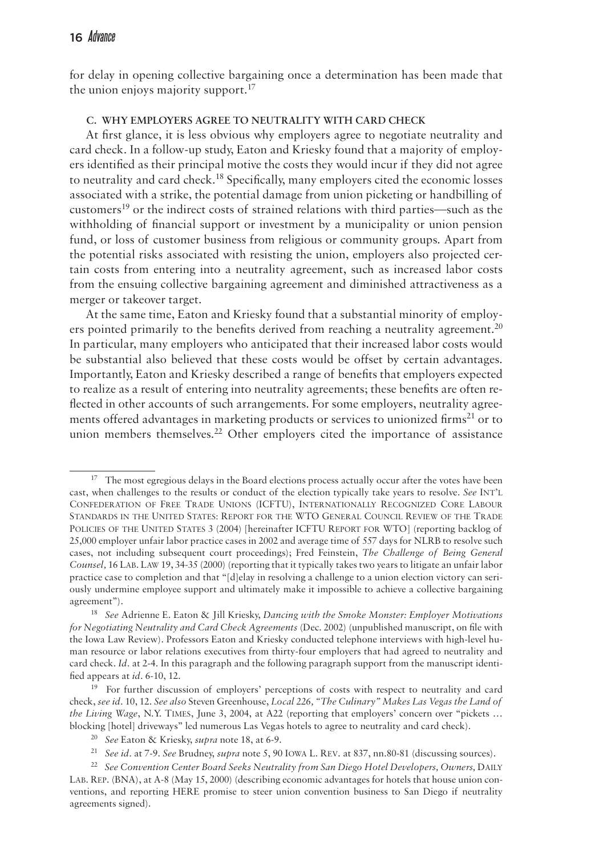for delay in opening collective bargaining once a determination has been made that the union enjoys majority support. $^{17}$ 

# **C. Why Employers Agree to Neutrality with Card Check**

At first glance, it is less obvious why employers agree to negotiate neutrality and card check. In a follow-up study, Eaton and Kriesky found that a majority of employers identified as their principal motive the costs they would incur if they did not agree to neutrality and card check.<sup>18</sup> Specifically, many employers cited the economic losses associated with a strike, the potential damage from union picketing or handbilling of customers<sup>19</sup> or the indirect costs of strained relations with third parties—such as the withholding of financial support or investment by a municipality or union pension fund, or loss of customer business from religious or community groups. Apart from the potential risks associated with resisting the union, employers also projected certain costs from entering into a neutrality agreement, such as increased labor costs from the ensuing collective bargaining agreement and diminished attractiveness as a merger or takeover target.

At the same time, Eaton and Kriesky found that a substantial minority of employers pointed primarily to the benefits derived from reaching a neutrality agreement.<sup>20</sup> In particular, many employers who anticipated that their increased labor costs would be substantial also believed that these costs would be offset by certain advantages. Importantly, Eaton and Kriesky described a range of benefits that employers expected to realize as a result of entering into neutrality agreements; these benefits are often reflected in other accounts of such arrangements. For some employers, neutrality agreements offered advantages in marketing products or services to unionized firms<sup>21</sup> or to union members themselves.<sup>22</sup> Other employers cited the importance of assistance

 $17$  The most egregious delays in the Board elections process actually occur after the votes have been cast, when challenges to the results or conduct of the election typically take years to resolve. *See* Int'l Confederation of Free Trade Unions (ICFTU), Internationally Recognized Core Labour Standards in the United States: Report for the WTO General Council Review of the Trade POLICIES OF THE UNITED STATES 3 (2004) [hereinafter ICFTU REPORT FOR WTO] (reporting backlog of 25,000 employer unfair labor practice cases in 2002 and average time of 557 days for NLRB to resolve such cases, not including subsequent court proceedings); Fred Feinstein, *The Challenge of Being General Counsel,* 16 Lab. Law 19, 34-35 (2000) (reporting that it typically takes two years to litigate an unfair labor practice case to completion and that "[d]elay in resolving a challenge to a union election victory can seriously undermine employee support and ultimately make it impossible to achieve a collective bargaining agreement").

<sup>18</sup> *See* Adrienne E. Eaton & Jill Kriesky, *Dancing with the Smoke Monster: Employer Motivations for Negotiating Neutrality and Card Check Agreements* (Dec. 2002) (unpublished manuscript, on file with the Iowa Law Review). Professors Eaton and Kriesky conducted telephone interviews with high-level human resource or labor relations executives from thirty-four employers that had agreed to neutrality and card check. *Id.* at 2-4. In this paragraph and the following paragraph support from the manuscript identified appears at *id.* 6-10, 12.

<sup>&</sup>lt;sup>19</sup> For further discussion of employers' perceptions of costs with respect to neutrality and card check, *see id.* 10, 12. *See also* Steven Greenhouse, *Local 226, "The Culinary" Makes Las Vegas the Land of the Living Wage*, N.Y. Times, June 3, 2004, at A22 (reporting that employers' concern over "pickets … blocking [hotel] driveways" led numerous Las Vegas hotels to agree to neutrality and card check).

<sup>20</sup> *See* Eaton & Kriesky, *supra* note 18, at 6-9.

<sup>21</sup> *See id.* at 7-9. *See* Brudney, *supra* note 5, 90 Iowa L. Rev. at 837, nn.80-81 (discussing sources).

<sup>&</sup>lt;sup>22</sup> See Convention Center Board Seeks Neutrality from San Diego Hotel Developers, Owners, DAILY Lab. Rep. (BNA), at A-8 (May 15, 2000) (describing economic advantages for hotels that house union conventions, and reporting HERE promise to steer union convention business to San Diego if neutrality agreements signed).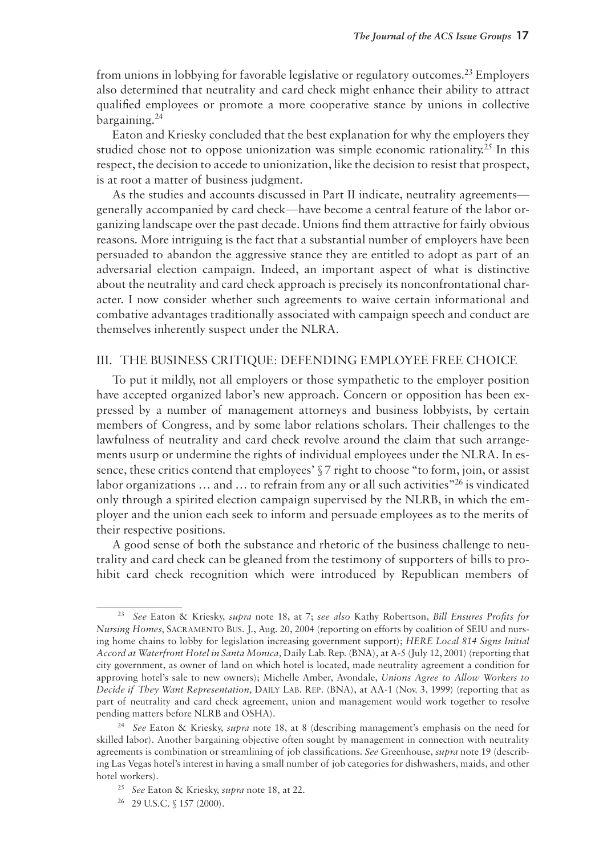from unions in lobbying for favorable legislative or regulatory outcomes.23 Employers also determined that neutrality and card check might enhance their ability to attract qualified employees or promote a more cooperative stance by unions in collective bargaining.24

Eaton and Kriesky concluded that the best explanation for why the employers they studied chose not to oppose unionization was simple economic rationality.<sup>25</sup> In this respect, the decision to accede to unionization, like the decision to resist that prospect, is at root a matter of business judgment.

As the studies and accounts discussed in Part II indicate, neutrality agreements generally accompanied by card check—have become a central feature of the labor organizing landscape over the past decade. Unions find them attractive for fairly obvious reasons. More intriguing is the fact that a substantial number of employers have been persuaded to abandon the aggressive stance they are entitled to adopt as part of an adversarial election campaign. Indeed, an important aspect of what is distinctive about the neutrality and card check approach is precisely its nonconfrontational character. I now consider whether such agreements to waive certain informational and combative advantages traditionally associated with campaign speech and conduct are themselves inherently suspect under the NLRA.

### III. The Business Critique: Defending Employee Free Choice

To put it mildly, not all employers or those sympathetic to the employer position have accepted organized labor's new approach. Concern or opposition has been expressed by a number of management attorneys and business lobbyists, by certain members of Congress, and by some labor relations scholars. Their challenges to the lawfulness of neutrality and card check revolve around the claim that such arrangements usurp or undermine the rights of individual employees under the NLRA. In essence, these critics contend that employees'  $\sqrt{\ }$  *z* right to choose "to form, join, or assist labor organizations ... and ... to refrain from any or all such activities<sup>"26</sup> is vindicated only through a spirited election campaign supervised by the NLRB, in which the employer and the union each seek to inform and persuade employees as to the merits of their respective positions.

A good sense of both the substance and rhetoric of the business challenge to neutrality and card check can be gleaned from the testimony of supporters of bills to prohibit card check recognition which were introduced by Republican members of

<sup>23</sup> *See* Eaton & Kriesky, *supra* note 18, at 7; *see also* Kathy Robertson, *Bill Ensures Profits for Nursing Homes,* Sacramento Bus. J., Aug. 20, 2004 (reporting on efforts by coalition of SEIU and nursing home chains to lobby for legislation increasing government support); *HERE Local 814 Signs Initial Accord at Waterfront Hotel in Santa Monica,* Daily Lab. Rep. (BNA), at A-5 (July 12, 2001) (reporting that city government, as owner of land on which hotel is located, made neutrality agreement a condition for approving hotel's sale to new owners); Michelle Amber, Avondale, *Unions Agree to Allow Workers to Decide if They Want Representation,* Daily Lab. Rep. (BNA), at AA-1 (Nov. 3, 1999) (reporting that as part of neutrality and card check agreement, union and management would work together to resolve pending matters before NLRB and OSHA).

<sup>24</sup> *See* Eaton & Kriesky, *supra* note 18, at 8 (describing management's emphasis on the need for skilled labor). Another bargaining objective often sought by management in connection with neutrality agreements is combination or streamlining of job classifications. *See* Greenhouse, *supra* note 19 (describing Las Vegas hotel's interest in having a small number of job categories for dishwashers, maids, and other hotel workers).

<sup>25</sup> *See* Eaton & Kriesky, *supra* note 18, at 22.

<sup>26</sup> 29 U.S.C. § 157 (2000).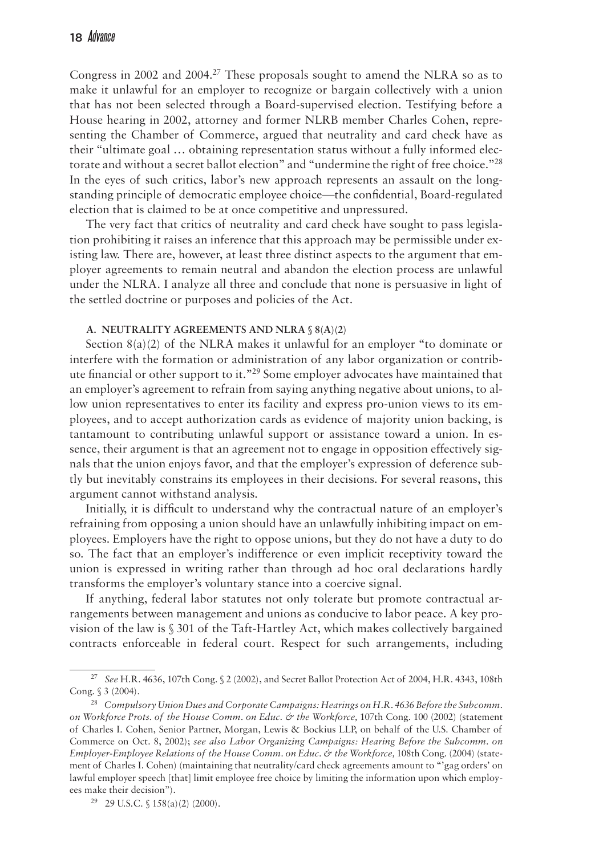Congress in 2002 and 2004.<sup>27</sup> These proposals sought to amend the NLRA so as to make it unlawful for an employer to recognize or bargain collectively with a union that has not been selected through a Board-supervised election. Testifying before a House hearing in 2002, attorney and former NLRB member Charles Cohen, representing the Chamber of Commerce, argued that neutrality and card check have as their "ultimate goal … obtaining representation status without a fully informed electorate and without a secret ballot election" and "undermine the right of free choice."<sup>28</sup> In the eyes of such critics, labor's new approach represents an assault on the longstanding principle of democratic employee choice—the confidential, Board-regulated election that is claimed to be at once competitive and unpressured.

The very fact that critics of neutrality and card check have sought to pass legislation prohibiting it raises an inference that this approach may be permissible under existing law. There are, however, at least three distinct aspects to the argument that employer agreements to remain neutral and abandon the election process are unlawful under the NLRA. I analyze all three and conclude that none is persuasive in light of the settled doctrine or purposes and policies of the Act.

#### **A. Neutrality Agreements and NLRA § 8(a)(2)**

Section  $8(a)(2)$  of the NLRA makes it unlawful for an employer "to dominate or interfere with the formation or administration of any labor organization or contribute financial or other support to it."<sup>29</sup> Some employer advocates have maintained that an employer's agreement to refrain from saying anything negative about unions, to allow union representatives to enter its facility and express pro-union views to its employees, and to accept authorization cards as evidence of majority union backing, is tantamount to contributing unlawful support or assistance toward a union. In essence, their argument is that an agreement not to engage in opposition effectively signals that the union enjoys favor, and that the employer's expression of deference subtly but inevitably constrains its employees in their decisions. For several reasons, this argument cannot withstand analysis.

Initially, it is difficult to understand why the contractual nature of an employer's refraining from opposing a union should have an unlawfully inhibiting impact on employees. Employers have the right to oppose unions, but they do not have a duty to do so. The fact that an employer's indifference or even implicit receptivity toward the union is expressed in writing rather than through ad hoc oral declarations hardly transforms the employer's voluntary stance into a coercive signal.

If anything, federal labor statutes not only tolerate but promote contractual arrangements between management and unions as conducive to labor peace. A key provision of the law is § 301 of the Taft-Hartley Act, which makes collectively bargained contracts enforceable in federal court. Respect for such arrangements, including

<sup>27</sup> *See* H.R. 4636, 107th Cong. § 2 (2002), and Secret Ballot Protection Act of 2004, H.R. 4343, 108th Cong. § 3 (2004).

<sup>28</sup> *Compulsory Union Dues and Corporate Campaigns: Hearings on H.R. 4636 Before the Subcomm. on Workforce Prots. of the House Comm. on Educ. & the Workforce,* 107th Cong. 100 (2002) (statement of Charles I. Cohen, Senior Partner, Morgan, Lewis & Bockius LLP, on behalf of the U.S. Chamber of Commerce on Oct. 8, 2002); *see also Labor Organizing Campaigns: Hearing Before the Subcomm. on Employer-Employee Relations of the House Comm. on Educ. & the Workforce,* 108th Cong. (2004) (statement of Charles I. Cohen) (maintaining that neutrality/card check agreements amount to "'gag orders' on lawful employer speech [that] limit employee free choice by limiting the information upon which employees make their decision").

<sup>29</sup> 29 U.S.C. § 158(a)(2) (2000).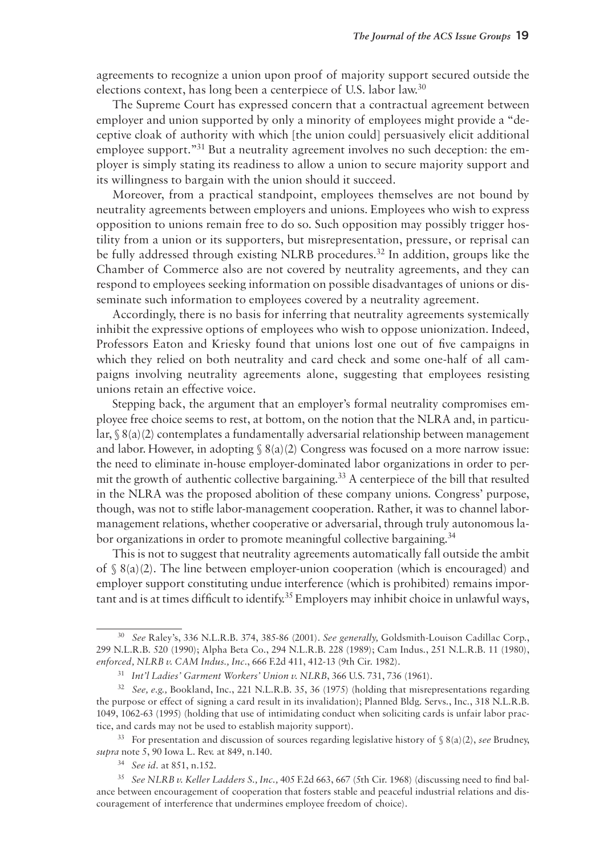agreements to recognize a union upon proof of majority support secured outside the elections context, has long been a centerpiece of U.S. labor law.30

The Supreme Court has expressed concern that a contractual agreement between employer and union supported by only a minority of employees might provide a "deceptive cloak of authority with which [the union could] persuasively elicit additional employee support."<sup>31</sup> But a neutrality agreement involves no such deception: the employer is simply stating its readiness to allow a union to secure majority support and its willingness to bargain with the union should it succeed.

Moreover, from a practical standpoint, employees themselves are not bound by neutrality agreements between employers and unions. Employees who wish to express opposition to unions remain free to do so. Such opposition may possibly trigger hostility from a union or its supporters, but misrepresentation, pressure, or reprisal can be fully addressed through existing NLRB procedures.<sup>32</sup> In addition, groups like the Chamber of Commerce also are not covered by neutrality agreements, and they can respond to employees seeking information on possible disadvantages of unions or disseminate such information to employees covered by a neutrality agreement.

Accordingly, there is no basis for inferring that neutrality agreements systemically inhibit the expressive options of employees who wish to oppose unionization. Indeed, Professors Eaton and Kriesky found that unions lost one out of five campaigns in which they relied on both neutrality and card check and some one-half of all campaigns involving neutrality agreements alone, suggesting that employees resisting unions retain an effective voice.

Stepping back, the argument that an employer's formal neutrality compromises employee free choice seems to rest, at bottom, on the notion that the NLRA and, in particular, § 8(a)(2) contemplates a fundamentally adversarial relationship between management and labor. However, in adopting  $\S 8(a)(2)$  Congress was focused on a more narrow issue: the need to eliminate in-house employer-dominated labor organizations in order to permit the growth of authentic collective bargaining.33 A centerpiece of the bill that resulted in the NLRA was the proposed abolition of these company unions. Congress' purpose, though, was not to stifle labor-management cooperation. Rather, it was to channel labormanagement relations, whether cooperative or adversarial, through truly autonomous labor organizations in order to promote meaningful collective bargaining.<sup>34</sup>

This is not to suggest that neutrality agreements automatically fall outside the ambit of  $\S$  8(a)(2). The line between employer-union cooperation (which is encouraged) and employer support constituting undue interference (which is prohibited) remains important and is at times difficult to identify.<sup>35</sup> Employers may inhibit choice in unlawful ways,

<sup>33</sup> For presentation and discussion of sources regarding legislative history of  $\frac{8}{a}(a)(2)$ , *see* Brudney, *supra* note 5, 90 Iowa L. Rev. at 849, n.140.

<sup>34</sup> *See id.* at 851, n.152.

<sup>30</sup> *See* Raley's, 336 N.L.R.B. 374, 385-86 (2001). *See generally,* Goldsmith-Louison Cadillac Corp., 299 N.L.R.B. 520 (1990); Alpha Beta Co., 294 N.L.R.B. 228 (1989); Cam Indus., 251 N.L.R.B. 11 (1980), *enforced, NLRB v. CAM Indus., Inc.*, 666 F.2d 411, 412-13 (9th Cir. 1982).

<sup>31</sup> *Int'l Ladies' Garment Workers' Union v. NLRB*, 366 U.S. 731, 736 (1961).

<sup>32</sup> *See, e.g.,* Bookland, Inc., 221 N.L.R.B. 35, 36 (1975) (holding that misrepresentations regarding the purpose or effect of signing a card result in its invalidation); Planned Bldg. Servs., Inc., 318 N.L.R.B. 1049, 1062-63 (1995) (holding that use of intimidating conduct when soliciting cards is unfair labor practice, and cards may not be used to establish majority support).

<sup>35</sup> *See NLRB v. Keller Ladders S., Inc.,* 405 F.2d 663, 667 (5th Cir. 1968) (discussing need to find balance between encouragement of cooperation that fosters stable and peaceful industrial relations and discouragement of interference that undermines employee freedom of choice).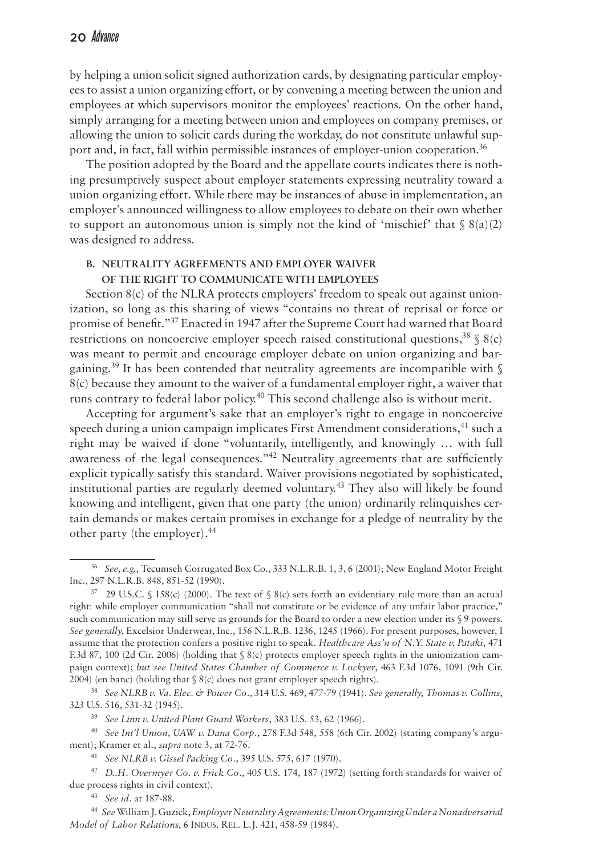by helping a union solicit signed authorization cards, by designating particular employees to assist a union organizing effort, or by convening a meeting between the union and employees at which supervisors monitor the employees' reactions. On the other hand, simply arranging for a meeting between union and employees on company premises, or allowing the union to solicit cards during the workday, do not constitute unlawful support and, in fact, fall within permissible instances of employer-union cooperation.36

The position adopted by the Board and the appellate courts indicates there is nothing presumptively suspect about employer statements expressing neutrality toward a union organizing effort. While there may be instances of abuse in implementation, an employer's announced willingness to allow employees to debate on their own whether to support an autonomous union is simply not the kind of 'mischief' that  $\S 8(a)(2)$ was designed to address.

# **B. Neutrality Agreements and Employer Waiver of the Right to Communicate with Employees**

Section  $8(c)$  of the NLRA protects employers' freedom to speak out against unionization, so long as this sharing of views "contains no threat of reprisal or force or promise of benefit."37 Enacted in 1947 after the Supreme Court had warned that Board restrictions on noncoercive employer speech raised constitutional questions,  $38 \text{ s/s}$ was meant to permit and encourage employer debate on union organizing and bargaining.<sup>39</sup> It has been contended that neutrality agreements are incompatible with  $\S$ 8(c) because they amount to the waiver of a fundamental employer right, a waiver that runs contrary to federal labor policy.<sup>40</sup> This second challenge also is without merit.

Accepting for argument's sake that an employer's right to engage in noncoercive speech during a union campaign implicates First Amendment considerations,<sup>41</sup> such a right may be waived if done "voluntarily, intelligently, and knowingly … with full awareness of the legal consequences.<sup> $n42$ </sup> Neutrality agreements that are sufficiently explicit typically satisfy this standard. Waiver provisions negotiated by sophisticated, institutional parties are regularly deemed voluntary.43 They also will likely be found knowing and intelligent, given that one party (the union) ordinarily relinquishes certain demands or makes certain promises in exchange for a pledge of neutrality by the other party (the employer).44

<sup>39</sup> *See Linn v. United Plant Guard Workers*, 383 U.S. 53, 62 (1966).

<sup>40</sup> *See Int'l Union, UAW v. Dana Corp*., 278 F.3d 548, 558 (6th Cir. 2002) (stating company's argument); Kramer et al., *supra* note 3, at 72-76.

<sup>41</sup> *See NLRB v. Gissel Packing Co.*, 395 U.S. 575, 617 (1970).

<sup>42</sup> *D.*.*H. Overmyer Co. v. Frick Co.,* 405 U.S. 174, 187 (1972) (setting forth standards for waiver of due process rights in civil context).

<sup>43</sup> *See id.* at 187-88.

<sup>36</sup> *See, e.g.,* Tecumseh Corrugated Box Co., 333 N.L.R.B. 1, 3, 6 (2001); New England Motor Freight Inc., 297 N.L.R.B. 848, 851-52 (1990).

 $37$  29 U.S.C. § 158(c) (2000). The text of § 8(c) sets forth an evidentiary rule more than an actual right: while employer communication "shall not constitute or be evidence of any unfair labor practice," such communication may still serve as grounds for the Board to order a new election under its § 9 powers. *See generally,* Excelsior Underwear, Inc., 156 N.L.R.B. 1236, 1245 (1966). For present purposes, however, I assume that the protection confers a positive right to speak. *Healthcare Ass'n of N.Y. State v. Pataki*, 471 F.3d 87, 100 (2d Cir. 2006) (holding that § 8(c) protects employer speech rights in the unionization campaign context); *but see United States Chamber of Commerce v. Lockyer*, 463 F.3d 1076, 1091 (9th Cir. 2004) (en banc) (holding that § 8(c) does not grant employer speech rights).

<sup>38</sup> *See NLRB v. Va. Elec. & Power Co.,* 314 U.S. 469, 477-79 (1941). *See generally, Thomas v. Collins*, 323 U.S. 516, 531-32 (1945).

<sup>44</sup> *See* William J. Guzick, *Employer Neutrality Agreements: Union Organizing Under a Nonadversarial Model of Labor Relations, 6 INDUS. REL. L.J. 421, 458-59 (1984).*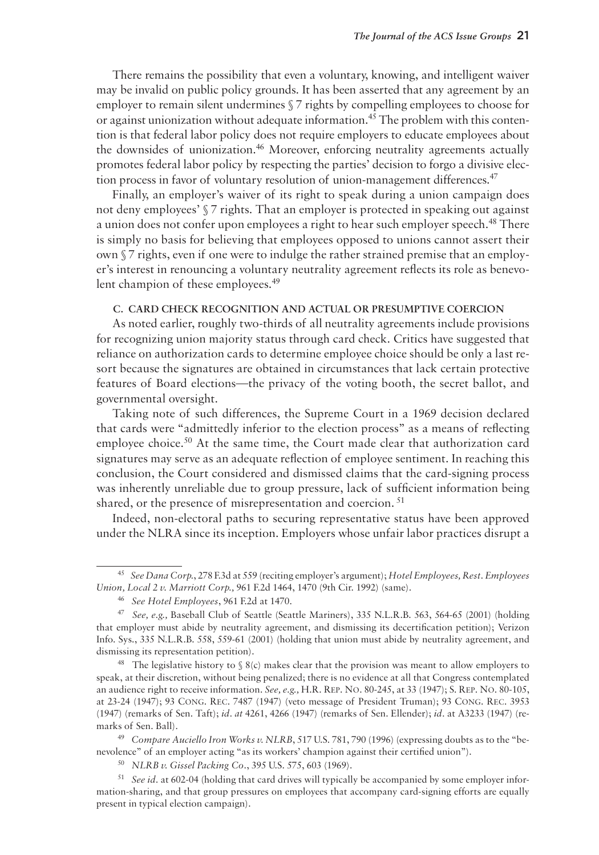There remains the possibility that even a voluntary, knowing, and intelligent waiver may be invalid on public policy grounds. It has been asserted that any agreement by an employer to remain silent undermines § 7 rights by compelling employees to choose for or against unionization without adequate information.45 The problem with this contention is that federal labor policy does not require employers to educate employees about the downsides of unionization.<sup>46</sup> Moreover, enforcing neutrality agreements actually promotes federal labor policy by respecting the parties' decision to forgo a divisive election process in favor of voluntary resolution of union-management differences.<sup>47</sup>

Finally, an employer's waiver of its right to speak during a union campaign does not deny employees' § 7 rights. That an employer is protected in speaking out against a union does not confer upon employees a right to hear such employer speech.48 There is simply no basis for believing that employees opposed to unions cannot assert their own § 7 rights, even if one were to indulge the rather strained premise that an employer's interest in renouncing a voluntary neutrality agreement reflects its role as benevolent champion of these employees.<sup>49</sup>

#### **C. Card Check Recognition and Actual or Presumptive Coercion**

As noted earlier, roughly two-thirds of all neutrality agreements include provisions for recognizing union majority status through card check. Critics have suggested that reliance on authorization cards to determine employee choice should be only a last resort because the signatures are obtained in circumstances that lack certain protective features of Board elections—the privacy of the voting booth, the secret ballot, and governmental oversight.

Taking note of such differences, the Supreme Court in a 1969 decision declared that cards were "admittedly inferior to the election process" as a means of reflecting employee choice.<sup>50</sup> At the same time, the Court made clear that authorization card signatures may serve as an adequate reflection of employee sentiment. In reaching this conclusion, the Court considered and dismissed claims that the card-signing process was inherently unreliable due to group pressure, lack of sufficient information being shared, or the presence of misrepresentation and coercion.<sup>51</sup>

Indeed, non-electoral paths to securing representative status have been approved under the NLRA since its inception. Employers whose unfair labor practices disrupt a

<sup>&</sup>lt;sup>45</sup> See Dana Corp., 278 F.3d at 559 (reciting employer's argument); *Hotel Employees*, Rest. Employees *Union, Local 2 v. Marriott Corp.,* 961 F.2d 1464, 1470 (9th Cir. 1992) (same).

<sup>46</sup> *See Hotel Employees*, 961 F.2d at 1470.

<sup>47</sup> *See, e.g.,* Baseball Club of Seattle (Seattle Mariners), 335 N.L.R.B. 563, 564-65 (2001) (holding that employer must abide by neutrality agreement, and dismissing its decertification petition); Verizon Info. Sys., 335 N.L.R.B. 558, 559-61 (2001) (holding that union must abide by neutrality agreement, and dismissing its representation petition).

<sup>&</sup>lt;sup>48</sup> The legislative history to  $\S$  8(c) makes clear that the provision was meant to allow employers to speak, at their discretion, without being penalized; there is no evidence at all that Congress contemplated an audience right to receive information. *See, e.g.,* H.R. Rep. No. 80-245, at 33 (1947); S. Rep. No. 80-105, at 23-24 (1947); 93 Cong. Rec. 7487 (1947) (veto message of President Truman); 93 Cong. Rec. 3953 (1947) (remarks of Sen. Taft); *id. at* 4261, 4266 (1947) (remarks of Sen. Ellender); *id.* at A3233 (1947) (remarks of Sen. Ball).

<sup>49</sup> *Compare Auciello Iron Works v. NLRB*, 517 U.S. 781, 790 (1996) (expressing doubts as to the "benevolence" of an employer acting "as its workers' champion against their certified union").

<sup>50</sup> *NLRB v. Gissel Packing Co*., 395 U.S. 575, 603 (1969).

<sup>51</sup> *See id.* at 602-04 (holding that card drives will typically be accompanied by some employer information-sharing, and that group pressures on employees that accompany card-signing efforts are equally present in typical election campaign).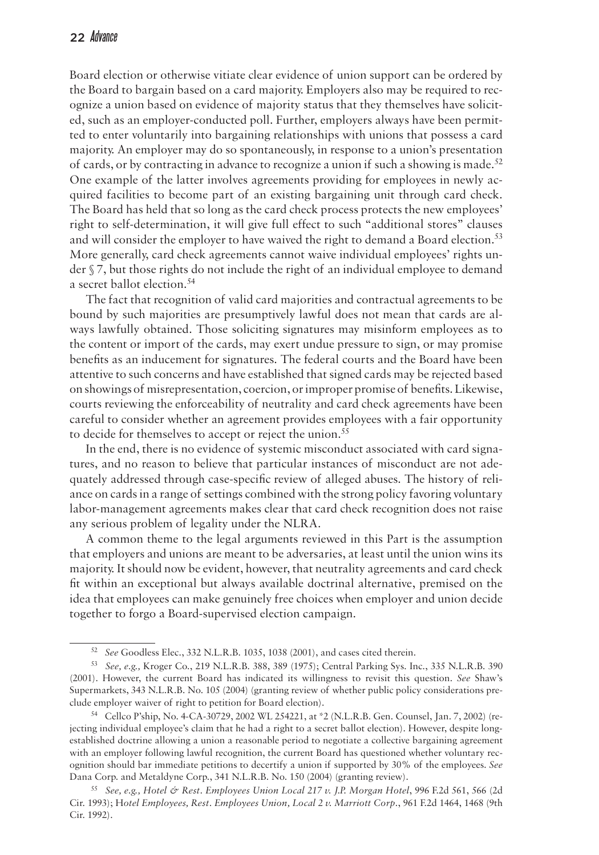Board election or otherwise vitiate clear evidence of union support can be ordered by the Board to bargain based on a card majority. Employers also may be required to recognize a union based on evidence of majority status that they themselves have solicited, such as an employer-conducted poll. Further, employers always have been permitted to enter voluntarily into bargaining relationships with unions that possess a card majority. An employer may do so spontaneously, in response to a union's presentation of cards, or by contracting in advance to recognize a union if such a showing is made.<sup>52</sup> One example of the latter involves agreements providing for employees in newly acquired facilities to become part of an existing bargaining unit through card check. The Board has held that so long as the card check process protects the new employees' right to self-determination, it will give full effect to such "additional stores" clauses and will consider the employer to have waived the right to demand a Board election.<sup>53</sup> More generally, card check agreements cannot waive individual employees' rights under § 7, but those rights do not include the right of an individual employee to demand a secret ballot election.<sup>54</sup>

The fact that recognition of valid card majorities and contractual agreements to be bound by such majorities are presumptively lawful does not mean that cards are always lawfully obtained. Those soliciting signatures may misinform employees as to the content or import of the cards, may exert undue pressure to sign, or may promise benefits as an inducement for signatures. The federal courts and the Board have been attentive to such concerns and have established that signed cards may be rejected based on showings of misrepresentation, coercion, or improper promise of benefits. Likewise, courts reviewing the enforceability of neutrality and card check agreements have been careful to consider whether an agreement provides employees with a fair opportunity to decide for themselves to accept or reject the union.<sup>55</sup>

In the end, there is no evidence of systemic misconduct associated with card signatures, and no reason to believe that particular instances of misconduct are not adequately addressed through case-specific review of alleged abuses. The history of reliance on cards in a range of settings combined with the strong policy favoring voluntary labor-management agreements makes clear that card check recognition does not raise any serious problem of legality under the NLRA.

A common theme to the legal arguments reviewed in this Part is the assumption that employers and unions are meant to be adversaries, at least until the union wins its majority. It should now be evident, however, that neutrality agreements and card check fit within an exceptional but always available doctrinal alternative, premised on the idea that employees can make genuinely free choices when employer and union decide together to forgo a Board-supervised election campaign.

<sup>52</sup> *See* Goodless Elec., 332 N.L.R.B. 1035, 1038 (2001), and cases cited therein.

<sup>53</sup> *See, e.g.,* Kroger Co., 219 N.L.R.B. 388, 389 (1975); Central Parking Sys. Inc., 335 N.L.R.B. 390 (2001). However, the current Board has indicated its willingness to revisit this question. *See* Shaw's Supermarkets, 343 N.L.R.B. No. 105 (2004) (granting review of whether public policy considerations preclude employer waiver of right to petition for Board election).

<sup>54</sup> Cellco P'ship, No. 4-CA-30729, 2002 WL 254221, at \*2 (N.L.R.B. Gen. Counsel, Jan. 7, 2002) (rejecting individual employee's claim that he had a right to a secret ballot election). However, despite longestablished doctrine allowing a union a reasonable period to negotiate a collective bargaining agreement with an employer following lawful recognition, the current Board has questioned whether voluntary recognition should bar immediate petitions to decertify a union if supported by 30% of the employees. *See*  Dana Corp. and Metaldyne Corp., 341 N.L.R.B. No. 150 (2004) (granting review).

<sup>55</sup> *See, e.g., Hotel & Rest. Employees Union Local 217 v. J.P. Morgan Hotel*, 996 F.2d 561, 566 (2d Cir. 1993); H*otel Employees, Rest. Employees Union, Local 2 v. Marriott Corp*., 961 F.2d 1464, 1468 (9th Cir. 1992).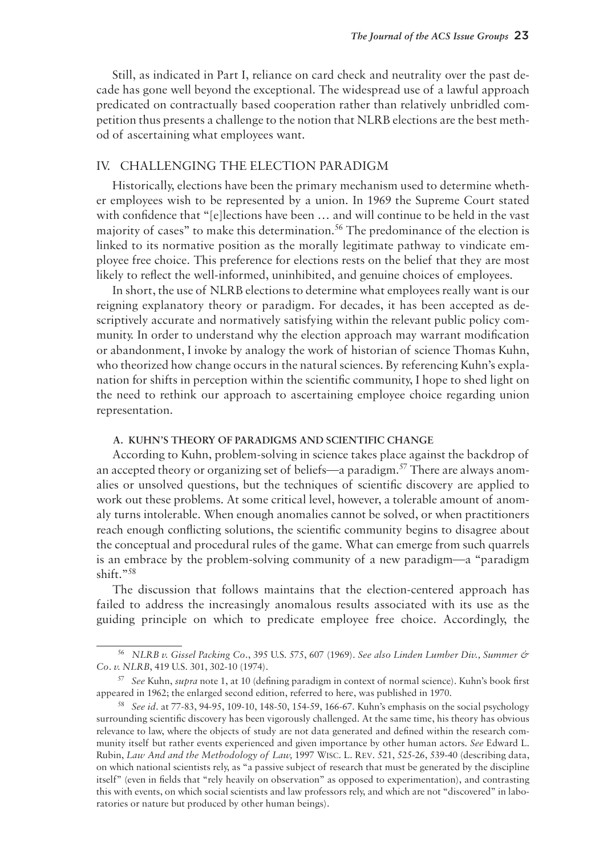Still, as indicated in Part I, reliance on card check and neutrality over the past decade has gone well beyond the exceptional. The widespread use of a lawful approach predicated on contractually based cooperation rather than relatively unbridled competition thus presents a challenge to the notion that NLRB elections are the best method of ascertaining what employees want.

# IV. Challenging The Election Paradigm

Historically, elections have been the primary mechanism used to determine whether employees wish to be represented by a union. In 1969 the Supreme Court stated with confidence that "[e]lections have been … and will continue to be held in the vast majority of cases" to make this determination.<sup>56</sup> The predominance of the election is linked to its normative position as the morally legitimate pathway to vindicate employee free choice. This preference for elections rests on the belief that they are most likely to reflect the well-informed, uninhibited, and genuine choices of employees.

In short, the use of NLRB elections to determine what employees really want is our reigning explanatory theory or paradigm. For decades, it has been accepted as descriptively accurate and normatively satisfying within the relevant public policy community. In order to understand why the election approach may warrant modification or abandonment, I invoke by analogy the work of historian of science Thomas Kuhn, who theorized how change occurs in the natural sciences. By referencing Kuhn's explanation for shifts in perception within the scientific community, I hope to shed light on the need to rethink our approach to ascertaining employee choice regarding union representation.

# **A. Kuhn's Theory of Paradigms and Scientific Change**

According to Kuhn, problem-solving in science takes place against the backdrop of an accepted theory or organizing set of beliefs—a paradigm.57 There are always anomalies or unsolved questions, but the techniques of scientific discovery are applied to work out these problems. At some critical level, however, a tolerable amount of anomaly turns intolerable. When enough anomalies cannot be solved, or when practitioners reach enough conflicting solutions, the scientific community begins to disagree about the conceptual and procedural rules of the game. What can emerge from such quarrels is an embrace by the problem-solving community of a new paradigm—a "paradigm shift."58

The discussion that follows maintains that the election-centered approach has failed to address the increasingly anomalous results associated with its use as the guiding principle on which to predicate employee free choice. Accordingly, the

<sup>56</sup> *NLRB v. Gissel Packing Co*., 395 U.S. 575, 607 (1969). *See also Linden Lumber Div., Summer & Co. v. NLRB*, 419 U.S. 301, 302-10 (1974).

<sup>57</sup> *See* Kuhn, *supra* note 1, at 10 (defining paradigm in context of normal science). Kuhn's book first appeared in 1962; the enlarged second edition, referred to here, was published in 1970.

<sup>58</sup> *See id.* at 77-83, 94-95, 109-10, 148-50, 154-59, 166-67. Kuhn's emphasis on the social psychology surrounding scientific discovery has been vigorously challenged. At the same time, his theory has obvious relevance to law, where the objects of study are not data generated and defined within the research community itself but rather events experienced and given importance by other human actors. *See* Edward L. Rubin, *Law And and the Methodology of Law,* 1997 Wisc. L. Rev. 521, 525-26, 539-40 (describing data, on which national scientists rely, as "a passive subject of research that must be generated by the discipline itself" (even in fields that "rely heavily on observation" as opposed to experimentation), and contrasting this with events, on which social scientists and law professors rely, and which are not "discovered" in laboratories or nature but produced by other human beings).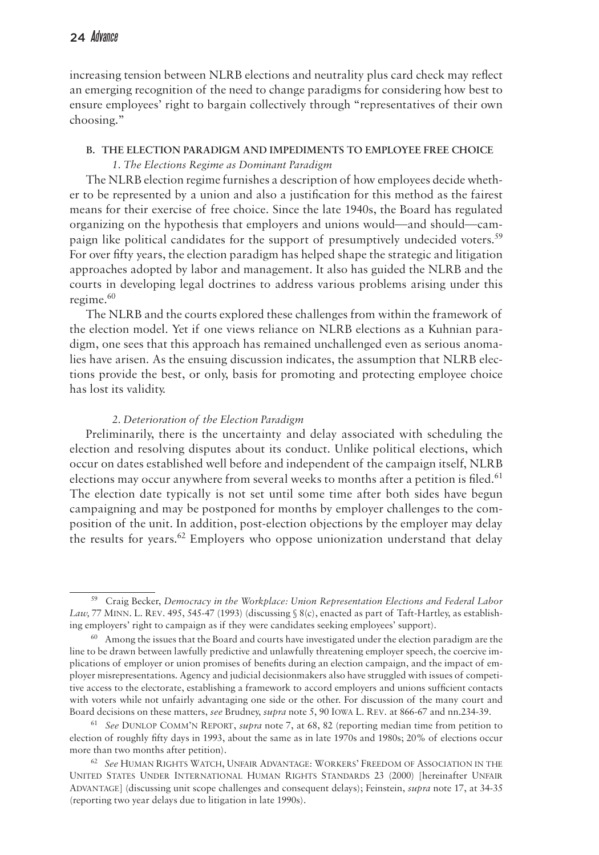increasing tension between NLRB elections and neutrality plus card check may reflect an emerging recognition of the need to change paradigms for considering how best to ensure employees' right to bargain collectively through "representatives of their own choosing."

# **B. The Election Paradigm and Impediments to Employee Free Choice** *1. The Elections Regime as Dominant Paradigm*

The NLRB election regime furnishes a description of how employees decide whether to be represented by a union and also a justification for this method as the fairest means for their exercise of free choice. Since the late 1940s, the Board has regulated organizing on the hypothesis that employers and unions would—and should—campaign like political candidates for the support of presumptively undecided voters.<sup>59</sup> For over fifty years, the election paradigm has helped shape the strategic and litigation approaches adopted by labor and management. It also has guided the NLRB and the courts in developing legal doctrines to address various problems arising under this regime. $60$ 

The NLRB and the courts explored these challenges from within the framework of the election model. Yet if one views reliance on NLRB elections as a Kuhnian paradigm, one sees that this approach has remained unchallenged even as serious anomalies have arisen. As the ensuing discussion indicates, the assumption that NLRB elections provide the best, or only, basis for promoting and protecting employee choice has lost its validity.

#### *2. Deterioration of the Election Paradigm*

Preliminarily, there is the uncertainty and delay associated with scheduling the election and resolving disputes about its conduct. Unlike political elections, which occur on dates established well before and independent of the campaign itself, NLRB elections may occur anywhere from several weeks to months after a petition is filed.<sup>61</sup> The election date typically is not set until some time after both sides have begun campaigning and may be postponed for months by employer challenges to the composition of the unit. In addition, post-election objections by the employer may delay the results for years.<sup>62</sup> Employers who oppose unionization understand that delay

<sup>59</sup> Craig Becker, *Democracy in the Workplace: Union Representation Elections and Federal Labor Law,* 77 Minn. L. Rev. 495, 545-47 (1993) (discussing § 8(c), enacted as part of Taft-Hartley, as establishing employers' right to campaign as if they were candidates seeking employees' support).

 $60$  Among the issues that the Board and courts have investigated under the election paradigm are the line to be drawn between lawfully predictive and unlawfully threatening employer speech, the coercive implications of employer or union promises of benefits during an election campaign, and the impact of employer misrepresentations. Agency and judicial decisionmakers also have struggled with issues of competitive access to the electorate, establishing a framework to accord employers and unions sufficient contacts with voters while not unfairly advantaging one side or the other. For discussion of the many court and Board decisions on these matters, *see* Brudney, *supra* note 5, 90 Iowa L. Rev. at 866-67 and nn.234-39.

<sup>61</sup> *See* Dunlop Comm'n Report, *supra* note 7, at 68, 82 (reporting median time from petition to election of roughly fifty days in 1993, about the same as in late 1970s and 1980s; 20% of elections occur more than two months after petition).

<sup>62</sup> *See* Human Rights Watch, Unfair Advantage: Workers' Freedom of Association in the United States Under International Human Rights Standards 23 (2000) [hereinafter Unfair Advantage] (discussing unit scope challenges and consequent delays); Feinstein, *supra* note 17, at 34-35 (reporting two year delays due to litigation in late 1990s).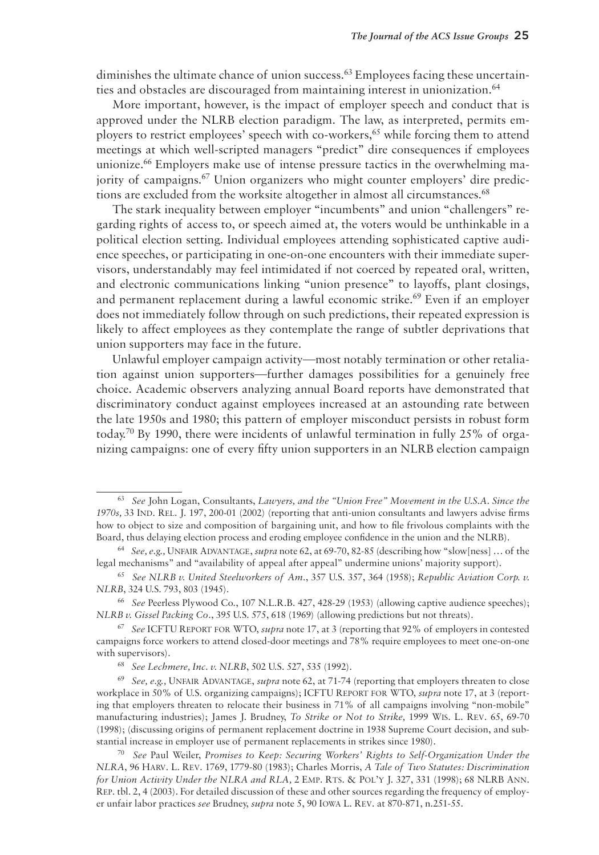diminishes the ultimate chance of union success.<sup>63</sup> Employees facing these uncertainties and obstacles are discouraged from maintaining interest in unionization.<sup>64</sup>

More important, however, is the impact of employer speech and conduct that is approved under the NLRB election paradigm. The law, as interpreted, permits employers to restrict employees' speech with co-workers,<sup>65</sup> while forcing them to attend meetings at which well-scripted managers "predict" dire consequences if employees unionize.<sup>66</sup> Employers make use of intense pressure tactics in the overwhelming majority of campaigns.<sup>67</sup> Union organizers who might counter employers' dire predictions are excluded from the worksite altogether in almost all circumstances.<sup>68</sup>

The stark inequality between employer "incumbents" and union "challengers" regarding rights of access to, or speech aimed at, the voters would be unthinkable in a political election setting. Individual employees attending sophisticated captive audience speeches, or participating in one-on-one encounters with their immediate supervisors, understandably may feel intimidated if not coerced by repeated oral, written, and electronic communications linking "union presence" to layoffs, plant closings, and permanent replacement during a lawful economic strike.<sup>69</sup> Even if an employer does not immediately follow through on such predictions, their repeated expression is likely to affect employees as they contemplate the range of subtler deprivations that union supporters may face in the future.

Unlawful employer campaign activity—most notably termination or other retaliation against union supporters—further damages possibilities for a genuinely free choice. Academic observers analyzing annual Board reports have demonstrated that discriminatory conduct against employees increased at an astounding rate between the late 1950s and 1980; this pattern of employer misconduct persists in robust form today.70 By 1990, there were incidents of unlawful termination in fully 25% of organizing campaigns: one of every fifty union supporters in an NLRB election campaign

<sup>63</sup> *See* John Logan, Consultants, *Lawyers, and the "Union Free" Movement in the U.S.A. Since the 1970s,* 33 Ind. Rel. J. 197, 200-01 (2002) (reporting that anti-union consultants and lawyers advise firms how to object to size and composition of bargaining unit, and how to file frivolous complaints with the Board, thus delaying election process and eroding employee confidence in the union and the NLRB).

<sup>64</sup> *See, e.g.,* Unfair Advantage, *supra* note 62, at 69-70, 82-85 (describing how "slow[ness] … of the legal mechanisms" and "availability of appeal after appeal" undermine unions' majority support).

<sup>65</sup> *See NLRB v. United Steelworkers of Am*., 357 U.S. 357, 364 (1958); *Republic Aviation Corp. v. NLRB*, 324 U.S. 793, 803 (1945).

<sup>66</sup> *See* Peerless Plywood Co., 107 N.L.R.B. 427, 428-29 (1953) (allowing captive audience speeches); *NLRB v. Gissel Packing Co.*, 395 U.S. 575, 618 (1969) (allowing predictions but not threats).

<sup>67</sup> *See* ICFTU Report for WTO, *supra* note 17, at 3 (reporting that 92% of employers in contested campaigns force workers to attend closed-door meetings and 78% require employees to meet one-on-one with supervisors).

<sup>68</sup> *See Lechmere, Inc. v. NLRB*, 502 U.S. 527, 535 (1992).

<sup>69</sup> *See, e.g.,* Unfair Advantage, *supra* note 62, at 71-74 (reporting that employers threaten to close workplace in 50% of U.S. organizing campaigns); ICFTU Report for WTO, *supra* note 17, at 3 (reporting that employers threaten to relocate their business in 71% of all campaigns involving "non-mobile" manufacturing industries); James J. Brudney, *To Strike or Not to Strike,* 1999 Wis. L. Rev. 65, 69-70 (1998); (discussing origins of permanent replacement doctrine in 1938 Supreme Court decision, and substantial increase in employer use of permanent replacements in strikes since 1980).

<sup>70</sup> *See* Paul Weiler, *Promises to Keep: Securing Workers' Rights to Self-Organization Under the NLRA*, 96 Harv. L. Rev. 1769, 1779-80 (1983); Charles Morris, *A Tale of Two Statutes: Discrimination for Union Activity Under the NLRA and RLA, 2 EMP. RTS. & POL'Y J. 327, 331 (1998); 68 NLRB ANN.* Rep. tbl. 2, 4 (2003). For detailed discussion of these and other sources regarding the frequency of employer unfair labor practices *see* Brudney, *supra* note 5, 90 Iowa L. Rev. at 870-871, n.251-55.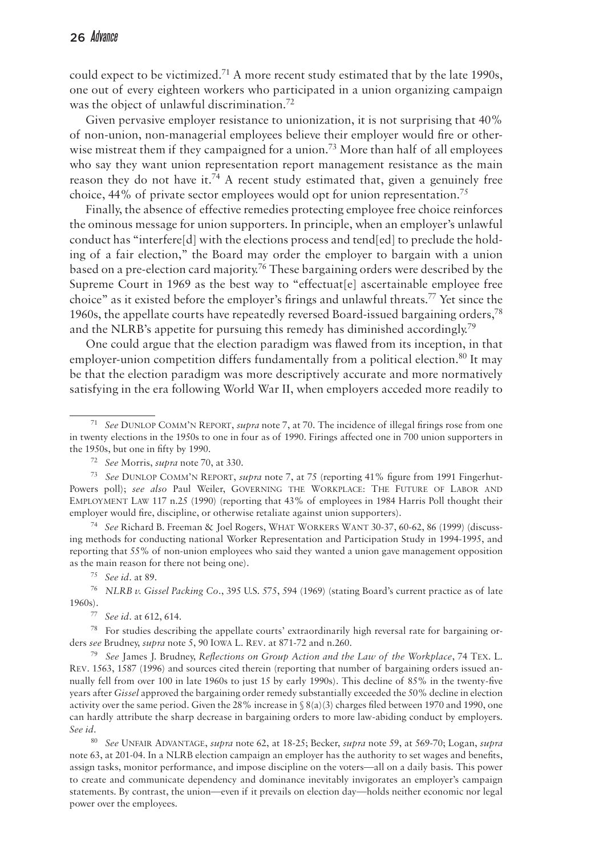could expect to be victimized.<sup>71</sup> A more recent study estimated that by the late 1990s, one out of every eighteen workers who participated in a union organizing campaign was the object of unlawful discrimination.72

Given pervasive employer resistance to unionization, it is not surprising that 40% of non-union, non-managerial employees believe their employer would fire or otherwise mistreat them if they campaigned for a union.<sup>73</sup> More than half of all employees who say they want union representation report management resistance as the main reason they do not have it.<sup>74</sup> A recent study estimated that, given a genuinely free choice, 44% of private sector employees would opt for union representation.75

Finally, the absence of effective remedies protecting employee free choice reinforces the ominous message for union supporters. In principle, when an employer's unlawful conduct has "interfere[d] with the elections process and tend[ed] to preclude the holding of a fair election," the Board may order the employer to bargain with a union based on a pre-election card majority.<sup>76</sup> These bargaining orders were described by the Supreme Court in 1969 as the best way to "effectuat<sup>[e]</sup> ascertainable employee free choice" as it existed before the employer's firings and unlawful threats.77 Yet since the 1960s, the appellate courts have repeatedly reversed Board-issued bargaining orders,  $78$ and the NLRB's appetite for pursuing this remedy has diminished accordingly.79

One could argue that the election paradigm was flawed from its inception, in that employer-union competition differs fundamentally from a political election.<sup>80</sup> It may be that the election paradigm was more descriptively accurate and more normatively satisfying in the era following World War II, when employers acceded more readily to

<sup>74</sup> *See* Richard B. Freeman & Joel Rogers, What Workers Want 30-37, 60-62, 86 (1999) (discussing methods for conducting national Worker Representation and Participation Study in 1994-1995, and reporting that 55% of non-union employees who said they wanted a union gave management opposition as the main reason for there not being one).

<sup>75</sup> *See id.* at 89.

78 For studies describing the appellate courts' extraordinarily high reversal rate for bargaining orders *see* Brudney, *supra* note 5, 90 Iowa L. Rev. at 871-72 and n.260.

<sup>79</sup> *See* James J. Brudney, *Reflections on Group Action and the Law of the Workplace*, 74 Tex. L. Rev. 1563, 1587 (1996) and sources cited therein (reporting that number of bargaining orders issued annually fell from over 100 in late 1960s to just 15 by early 1990s). This decline of 85% in the twenty-five years after *Gissel* approved the bargaining order remedy substantially exceeded the 50% decline in election activity over the same period. Given the 28% increase in § 8(a)(3) charges filed between 1970 and 1990, one can hardly attribute the sharp decrease in bargaining orders to more law-abiding conduct by employers. *See id.*

<sup>80</sup> *See* Unfair Advantage, *supra* note 62, at 18-25; Becker, *supra* note 59, at 569-70; Logan, *supra*  note 63, at 201-04. In a NLRB election campaign an employer has the authority to set wages and benefits, assign tasks, monitor performance, and impose discipline on the voters—all on a daily basis. This power to create and communicate dependency and dominance inevitably invigorates an employer's campaign statements. By contrast, the union—even if it prevails on election day—holds neither economic nor legal power over the employees.

<sup>71</sup> *See* Dunlop Comm'n Report, *supra* note 7, at 70. The incidence of illegal firings rose from one in twenty elections in the 1950s to one in four as of 1990. Firings affected one in 700 union supporters in the 1950s, but one in fifty by 1990.

<sup>72</sup> *See* Morris, *supra* note 70, at 330.

<sup>73</sup> *See* Dunlop Comm'n Report, *supra* note 7, at 75 (reporting 41% figure from 1991 Fingerhut-Powers poll); *see also* Paul Weiler, Governing the Workplace: The Future of Labor and Employment Law 117 n.25 (1990) (reporting that 43% of employees in 1984 Harris Poll thought their employer would fire, discipline, or otherwise retaliate against union supporters).

<sup>76</sup> *NLRB v. Gissel Packing Co*., 395 U.S. 575, 594 (1969) (stating Board's current practice as of late 1960s).

<sup>77</sup> *See id.* at 612, 614.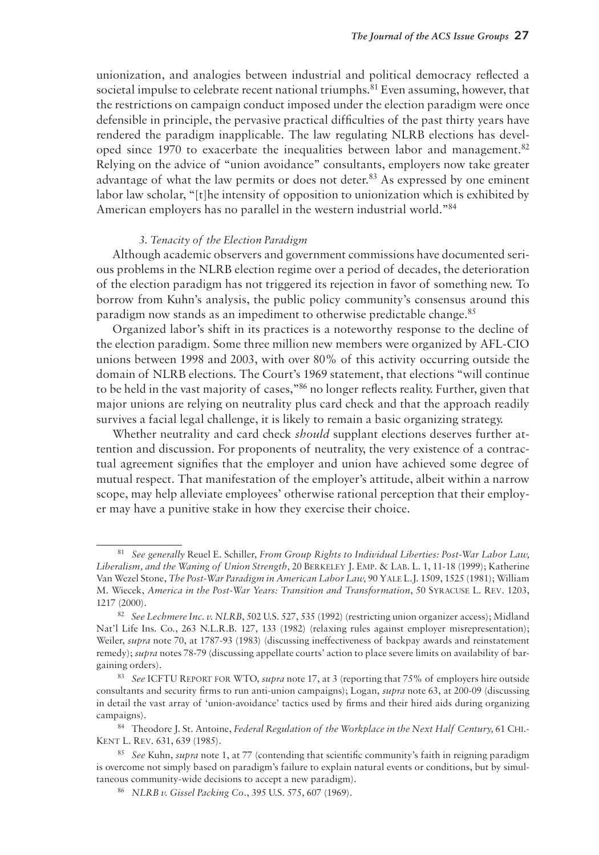unionization, and analogies between industrial and political democracy reflected a societal impulse to celebrate recent national triumphs.<sup>81</sup> Even assuming, however, that the restrictions on campaign conduct imposed under the election paradigm were once defensible in principle, the pervasive practical difficulties of the past thirty years have rendered the paradigm inapplicable. The law regulating NLRB elections has developed since 1970 to exacerbate the inequalities between labor and management.<sup>82</sup> Relying on the advice of "union avoidance" consultants, employers now take greater advantage of what the law permits or does not deter.<sup>83</sup> As expressed by one eminent labor law scholar, "[t]he intensity of opposition to unionization which is exhibited by American employers has no parallel in the western industrial world."84

#### *3. Tenacity of the Election Paradigm*

Although academic observers and government commissions have documented serious problems in the NLRB election regime over a period of decades, the deterioration of the election paradigm has not triggered its rejection in favor of something new. To borrow from Kuhn's analysis, the public policy community's consensus around this paradigm now stands as an impediment to otherwise predictable change.<sup>85</sup>

Organized labor's shift in its practices is a noteworthy response to the decline of the election paradigm. Some three million new members were organized by AFL-CIO unions between 1998 and 2003, with over 80% of this activity occurring outside the domain of NLRB elections. The Court's 1969 statement, that elections "will continue to be held in the vast majority of cases,"86 no longer reflects reality. Further, given that major unions are relying on neutrality plus card check and that the approach readily survives a facial legal challenge, it is likely to remain a basic organizing strategy.

Whether neutrality and card check *should* supplant elections deserves further attention and discussion. For proponents of neutrality, the very existence of a contractual agreement signifies that the employer and union have achieved some degree of mutual respect. That manifestation of the employer's attitude, albeit within a narrow scope, may help alleviate employees' otherwise rational perception that their employer may have a punitive stake in how they exercise their choice.

<sup>81</sup> *See generally* Reuel E. Schiller, *From Group Rights to Individual Liberties: Post-War Labor Law, Liberalism, and the Waning of Union Strength,* 20 Berkeley J. Emp. & Lab. L. 1, 11-18 (1999); Katherine Van Wezel Stone, *The Post-War Paradigm in American Labor Law,* 90 Yale L.J. 1509, 1525 (1981); William M. Wiecek, *America in the Post-War Years: Transition and Transformation*, 50 Syracuse L. Rev. 1203, 1217 (2000).

<sup>82</sup> *See Lechmere Inc. v. NLRB*, 502 U.S. 527, 535 (1992) (restricting union organizer access); Midland Nat'l Life Ins. Co., 263 N.L.R.B. 127, 133 (1982) (relaxing rules against employer misrepresentation); Weiler, *supra* note 70, at 1787-93 (1983) (discussing ineffectiveness of backpay awards and reinstatement remedy); *supra* notes 78-79 (discussing appellate courts' action to place severe limits on availability of bargaining orders).

<sup>83</sup> *See* ICFTU Report for WTO, *supra* note 17, at 3 (reporting that 75% of employers hire outside consultants and security firms to run anti-union campaigns); Logan, *supra* note 63, at 200-09 (discussing in detail the vast array of 'union-avoidance' tactics used by firms and their hired aids during organizing campaigns).

<sup>84</sup> Theodore J. St. Antoine, *Federal Regulation of the Workplace in the Next Half Century*, 61 CHI.-Kent L. Rev. 631, 639 (1985).

<sup>85</sup> *See* Kuhn, *supra* note 1, at 77 (contending that scientific community's faith in reigning paradigm is overcome not simply based on paradigm's failure to explain natural events or conditions, but by simultaneous community-wide decisions to accept a new paradigm).

<sup>86</sup> *NLRB v. Gissel Packing Co*., 395 U.S. 575, 607 (1969).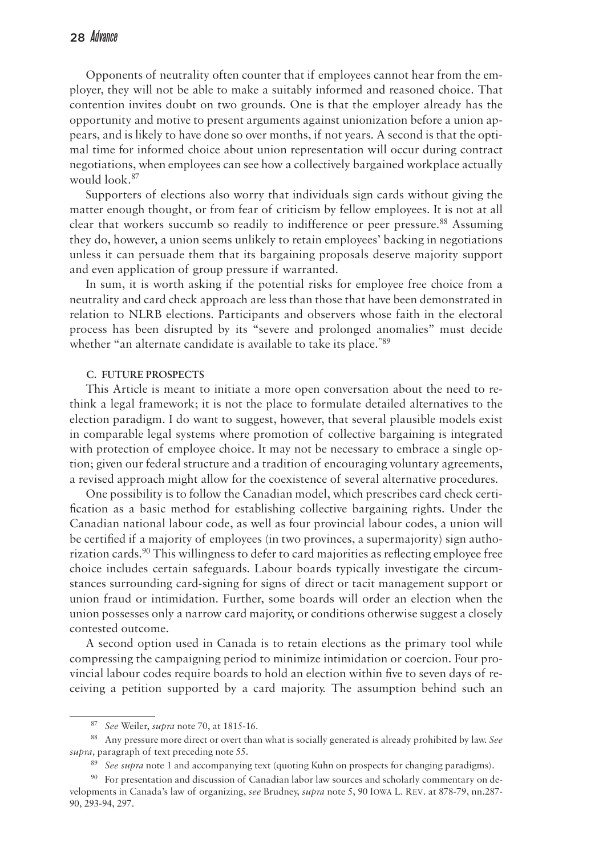Opponents of neutrality often counter that if employees cannot hear from the employer, they will not be able to make a suitably informed and reasoned choice. That contention invites doubt on two grounds. One is that the employer already has the opportunity and motive to present arguments against unionization before a union appears, and is likely to have done so over months, if not years. A second is that the optimal time for informed choice about union representation will occur during contract negotiations, when employees can see how a collectively bargained workplace actually would look.87

Supporters of elections also worry that individuals sign cards without giving the matter enough thought, or from fear of criticism by fellow employees. It is not at all clear that workers succumb so readily to indifference or peer pressure.<sup>88</sup> Assuming they do, however, a union seems unlikely to retain employees' backing in negotiations unless it can persuade them that its bargaining proposals deserve majority support and even application of group pressure if warranted.

In sum, it is worth asking if the potential risks for employee free choice from a neutrality and card check approach are less than those that have been demonstrated in relation to NLRB elections. Participants and observers whose faith in the electoral process has been disrupted by its "severe and prolonged anomalies" must decide whether "an alternate candidate is available to take its place."<sup>89</sup>

#### **C. Future Prospects**

This Article is meant to initiate a more open conversation about the need to rethink a legal framework; it is not the place to formulate detailed alternatives to the election paradigm. I do want to suggest, however, that several plausible models exist in comparable legal systems where promotion of collective bargaining is integrated with protection of employee choice. It may not be necessary to embrace a single option; given our federal structure and a tradition of encouraging voluntary agreements, a revised approach might allow for the coexistence of several alternative procedures.

One possibility is to follow the Canadian model, which prescribes card check certification as a basic method for establishing collective bargaining rights. Under the Canadian national labour code, as well as four provincial labour codes, a union will be certified if a majority of employees (in two provinces, a supermajority) sign authorization cards.90 This willingness to defer to card majorities as reflecting employee free choice includes certain safeguards. Labour boards typically investigate the circumstances surrounding card-signing for signs of direct or tacit management support or union fraud or intimidation. Further, some boards will order an election when the union possesses only a narrow card majority, or conditions otherwise suggest a closely contested outcome.

A second option used in Canada is to retain elections as the primary tool while compressing the campaigning period to minimize intimidation or coercion. Four provincial labour codes require boards to hold an election within five to seven days of receiving a petition supported by a card majority. The assumption behind such an

<sup>87</sup> *See* Weiler, *supra* note 70, at 1815-16.

<sup>88</sup> Any pressure more direct or overt than what is socially generated is already prohibited by law. *See supra,* paragraph of text preceding note 55.

<sup>89</sup> *See supra* note 1 and accompanying text (quoting Kuhn on prospects for changing paradigms).

<sup>&</sup>lt;sup>90</sup> For presentation and discussion of Canadian labor law sources and scholarly commentary on developments in Canada's law of organizing, *see* Brudney, *supra* note 5, 90 Iowa L. Rev. at 878-79, nn.287- 90, 293-94, 297.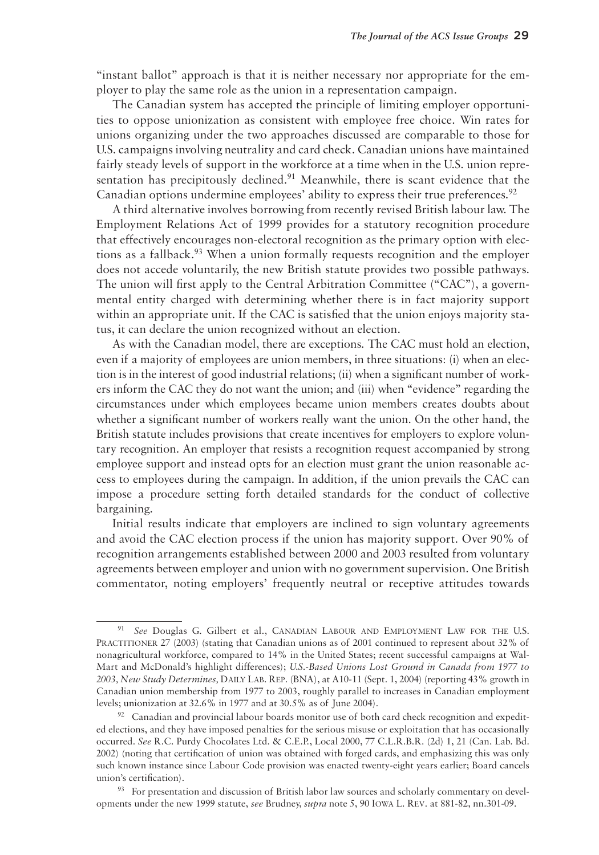"instant ballot" approach is that it is neither necessary nor appropriate for the employer to play the same role as the union in a representation campaign.

The Canadian system has accepted the principle of limiting employer opportunities to oppose unionization as consistent with employee free choice. Win rates for unions organizing under the two approaches discussed are comparable to those for U.S. campaigns involving neutrality and card check. Canadian unions have maintained fairly steady levels of support in the workforce at a time when in the U.S. union representation has precipitously declined.<sup>91</sup> Meanwhile, there is scant evidence that the Canadian options undermine employees' ability to express their true preferences.<sup>92</sup>

A third alternative involves borrowing from recently revised British labour law. The Employment Relations Act of 1999 provides for a statutory recognition procedure that effectively encourages non-electoral recognition as the primary option with elections as a fallback.<sup>93</sup> When a union formally requests recognition and the employer does not accede voluntarily, the new British statute provides two possible pathways. The union will first apply to the Central Arbitration Committee ("CAC"), a governmental entity charged with determining whether there is in fact majority support within an appropriate unit. If the CAC is satisfied that the union enjoys majority status, it can declare the union recognized without an election.

As with the Canadian model, there are exceptions. The CAC must hold an election, even if a majority of employees are union members, in three situations: (i) when an election is in the interest of good industrial relations; (ii) when a significant number of workers inform the CAC they do not want the union; and (iii) when "evidence" regarding the circumstances under which employees became union members creates doubts about whether a significant number of workers really want the union. On the other hand, the British statute includes provisions that create incentives for employers to explore voluntary recognition. An employer that resists a recognition request accompanied by strong employee support and instead opts for an election must grant the union reasonable access to employees during the campaign. In addition, if the union prevails the CAC can impose a procedure setting forth detailed standards for the conduct of collective bargaining.

Initial results indicate that employers are inclined to sign voluntary agreements and avoid the CAC election process if the union has majority support. Over 90% of recognition arrangements established between 2000 and 2003 resulted from voluntary agreements between employer and union with no government supervision. One British commentator, noting employers' frequently neutral or receptive attitudes towards

<sup>91</sup> *See* Douglas G. Gilbert et al., Canadian Labour and Employment Law for the U.S. PRACTITIONER 27 (2003) (stating that Canadian unions as of 2001 continued to represent about 32% of nonagricultural workforce, compared to 14% in the United States; recent successful campaigns at Wal-Mart and McDonald's highlight differences); *U.S.-Based Unions Lost Ground in Canada from 1977 to 2003, New Study Determines,* Daily Lab. Rep. (BNA), at A10-11 (Sept. 1, 2004) (reporting 43% growth in Canadian union membership from 1977 to 2003, roughly parallel to increases in Canadian employment levels; unionization at 32.6% in 1977 and at 30.5% as of June 2004).

 $92$  Canadian and provincial labour boards monitor use of both card check recognition and expedited elections, and they have imposed penalties for the serious misuse or exploitation that has occasionally occurred. *See* R.C. Purdy Chocolates Ltd. & C.E.P., Local 2000, 77 C.L.R.B.R. (2d) 1, 21 (Can. Lab. Bd. 2002) (noting that certification of union was obtained with forged cards, and emphasizing this was only such known instance since Labour Code provision was enacted twenty-eight years earlier; Board cancels union's certification).

<sup>&</sup>lt;sup>93</sup> For presentation and discussion of British labor law sources and scholarly commentary on developments under the new 1999 statute, *see* Brudney, *supra* note 5, 90 Iowa L. Rev. at 881-82, nn.301-09.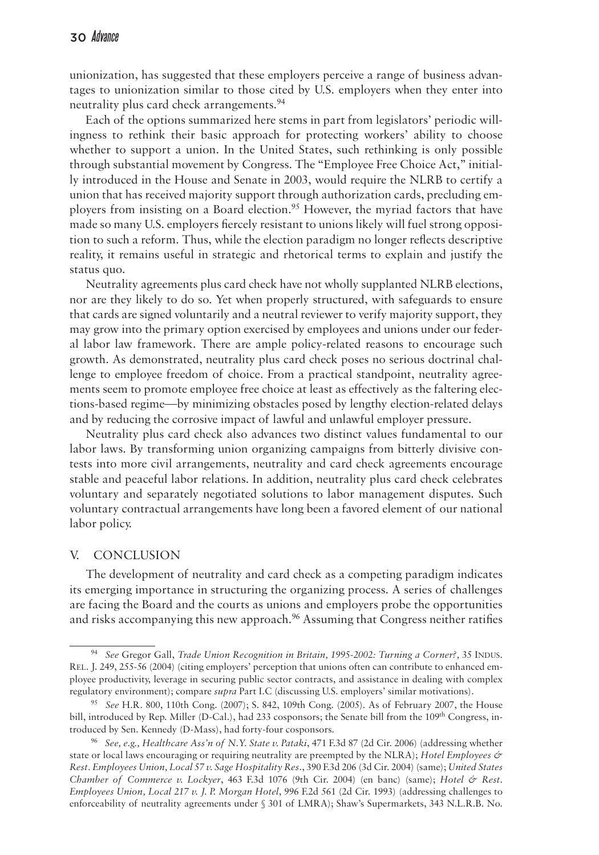unionization, has suggested that these employers perceive a range of business advantages to unionization similar to those cited by U.S. employers when they enter into neutrality plus card check arrangements.<sup>94</sup>

Each of the options summarized here stems in part from legislators' periodic willingness to rethink their basic approach for protecting workers' ability to choose whether to support a union. In the United States, such rethinking is only possible through substantial movement by Congress. The "Employee Free Choice Act," initially introduced in the House and Senate in 2003, would require the NLRB to certify a union that has received majority support through authorization cards, precluding employers from insisting on a Board election.<sup>95</sup> However, the myriad factors that have made so many U.S. employers fiercely resistant to unions likely will fuel strong opposition to such a reform. Thus, while the election paradigm no longer reflects descriptive reality, it remains useful in strategic and rhetorical terms to explain and justify the status quo.

Neutrality agreements plus card check have not wholly supplanted NLRB elections, nor are they likely to do so. Yet when properly structured, with safeguards to ensure that cards are signed voluntarily and a neutral reviewer to verify majority support, they may grow into the primary option exercised by employees and unions under our federal labor law framework. There are ample policy-related reasons to encourage such growth. As demonstrated, neutrality plus card check poses no serious doctrinal challenge to employee freedom of choice. From a practical standpoint, neutrality agreements seem to promote employee free choice at least as effectively as the faltering elections-based regime—by minimizing obstacles posed by lengthy election-related delays and by reducing the corrosive impact of lawful and unlawful employer pressure.

Neutrality plus card check also advances two distinct values fundamental to our labor laws. By transforming union organizing campaigns from bitterly divisive contests into more civil arrangements, neutrality and card check agreements encourage stable and peaceful labor relations. In addition, neutrality plus card check celebrates voluntary and separately negotiated solutions to labor management disputes. Such voluntary contractual arrangements have long been a favored element of our national labor policy.

### V. Conclusion

The development of neutrality and card check as a competing paradigm indicates its emerging importance in structuring the organizing process. A series of challenges are facing the Board and the courts as unions and employers probe the opportunities and risks accompanying this new approach.<sup>96</sup> Assuming that Congress neither ratifies

<sup>94</sup> *See* Gregor Gall, *Trade Union Recognition in Britain, 1995-2002: Turning a Corner?,* 35 Indus. Rel. J. 249, 255-56 (2004) (citing employers' perception that unions often can contribute to enhanced employee productivity, leverage in securing public sector contracts, and assistance in dealing with complex regulatory environment); compare *supra* Part I.C (discussing U.S. employers' similar motivations).

<sup>95</sup> *See* H.R. 800, 110th Cong. (2007); S. 842, 109th Cong. (2005). As of February 2007, the House bill, introduced by Rep. Miller (D-Cal.), had 233 cosponsors; the Senate bill from the 109<sup>th</sup> Congress, introduced by Sen. Kennedy (D-Mass), had forty-four cosponsors.

<sup>96</sup> *See, e.g., Healthcare Ass'n of N.Y. State v. Pataki*, 471 F.3d 87 (2d Cir. 2006) (addressing whether state or local laws encouraging or requiring neutrality are preempted by the NLRA); *Hotel Employees & Rest. Employees Union, Local 57 v. Sage Hospitality Res*., 390 F.3d 206 (3d Cir. 2004) (same); *United States Chamber of Commerce v. Lockyer*, 463 F.3d 1076 (9th Cir. 2004) (en banc) (same); *Hotel & Rest. Employees Union, Local 217 v. J. P. Morgan Hotel*, 996 F.2d 561 (2d Cir. 1993) (addressing challenges to enforceability of neutrality agreements under § 301 of LMRA); Shaw's Supermarkets, 343 N.L.R.B. No.